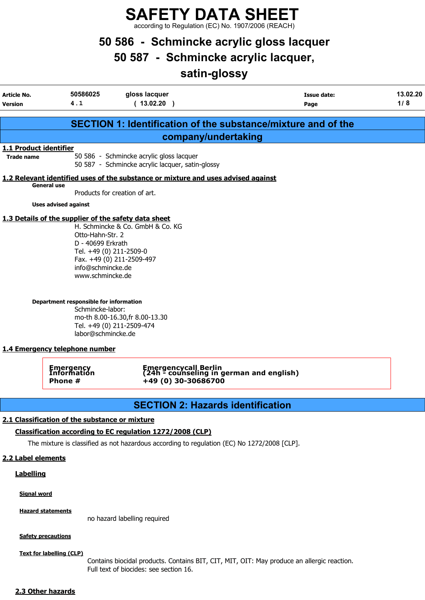SAFETY DATA SHEET according to Regulation (EC) No. 1907/2006 (REACH)

# 50 586 - Schmincke acrylic gloss lacquer

50 587 - Schmincke acrylic lacquer,

# satin-glossy

| <b>Article No.</b><br><b>Version</b>        | 50586025<br>4.1                                                                                                                                                                                                                                       | gloss lacquer<br>(13.02.20)                                                                                                   | <b>Issue date:</b><br>Page                                       | 13.02.20<br>1/8 |
|---------------------------------------------|-------------------------------------------------------------------------------------------------------------------------------------------------------------------------------------------------------------------------------------------------------|-------------------------------------------------------------------------------------------------------------------------------|------------------------------------------------------------------|-----------------|
|                                             |                                                                                                                                                                                                                                                       |                                                                                                                               | SECTION 1: Identification of the substance/mixture and of the    |                 |
|                                             |                                                                                                                                                                                                                                                       |                                                                                                                               | company/undertaking                                              |                 |
| 1.1 Product identifier<br><b>Trade name</b> |                                                                                                                                                                                                                                                       | 50 586 - Schmincke acrylic gloss lacquer<br>50 587 - Schmincke acrylic lacquer, satin-glossy                                  |                                                                  |                 |
|                                             |                                                                                                                                                                                                                                                       | 1.2 Relevant identified uses of the substance or mixture and uses advised against                                             |                                                                  |                 |
|                                             | General use                                                                                                                                                                                                                                           | Products for creation of art.                                                                                                 |                                                                  |                 |
|                                             | <b>Uses advised against</b>                                                                                                                                                                                                                           |                                                                                                                               |                                                                  |                 |
|                                             | 1.3 Details of the supplier of the safety data sheet<br>Otto-Hahn-Str. 2<br>D - 40699 Erkrath<br>Tel. +49 (0) 211-2509-0<br>info@schmincke.de<br>www.schmincke.de<br>Department responsible for information<br>Schmincke-labor:<br>labor@schmincke.de | H. Schmincke & Co. GmbH & Co. KG<br>Fax. +49 (0) 211-2509-497<br>mo-th 8.00-16.30, fr 8.00-13.30<br>Tel. +49 (0) 211-2509-474 |                                                                  |                 |
|                                             | 1.4 Emergency telephone number                                                                                                                                                                                                                        |                                                                                                                               |                                                                  |                 |
|                                             | <b>Emergency</b><br>Information<br>Phone #                                                                                                                                                                                                            | +49 (0) 30-30686700                                                                                                           | Emergencycall Berlin<br>(24h - counseling in german and english) |                 |
|                                             |                                                                                                                                                                                                                                                       |                                                                                                                               | <b>SECTION 2: Hazards identification</b>                         |                 |
|                                             | 2.1 Classification of the substance or mixture                                                                                                                                                                                                        | Classification according to EC regulation 1272/2008 (CLP)                                                                     |                                                                  |                 |
|                                             |                                                                                                                                                                                                                                                       | The mixture is classified as not hazardous according to regulation (EC) No 1272/2008 [CLP].                                   |                                                                  |                 |
| 2.2 Label elements                          |                                                                                                                                                                                                                                                       |                                                                                                                               |                                                                  |                 |

**Labelling** 

Signal word

Hazard statements

no hazard labelling required

**Safety precautions** 

Text for labelling (CLP)

Contains biocidal products. Contains BIT, CIT, MIT, OIT: May produce an allergic reaction. Full text of biocides: see section 16.

#### 2.3 Other hazards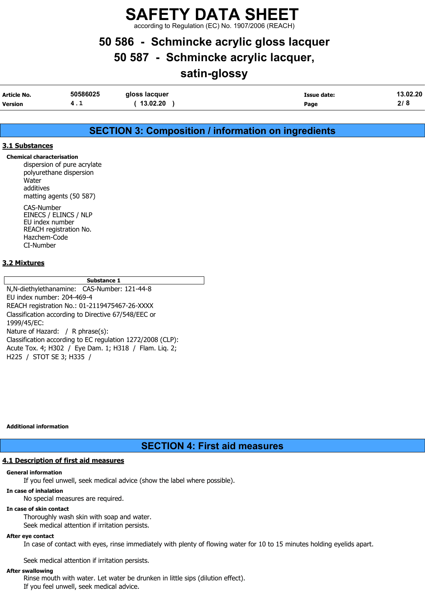according to Regulation (EC) No. 1907/2006 (REACH)

## 50 586 - Schmincke acrylic gloss lacquer

50 587 - Schmincke acrylic lacquer,

## satin-glossy

| Article No.    | 50586025 | gloss lacquer | Issue date: | 13.02.20 |
|----------------|----------|---------------|-------------|----------|
| <b>Version</b> | . L      | 13.02.20      | Page        | 2/8      |

### SECTION 3: Composition / information on ingredients

#### 3.1 Substances

Chemical characterisation dispersion of pure acrylate polyurethane dispersion **Water** additives matting agents (50 587) CAS-Number EINECS / ELINCS / NLP EU index number REACH registration No.

Hazchem-Code CI-Number

#### 3.2 Mixtures

Substance 1

N,N-diethylethanamine: CAS-Number: 121-44-8 EU index number: 204-469-4 REACH registration No.: 01-2119475467-26-XXXX Classification according to Directive 67/548/EEC or 1999/45/EC: Nature of Hazard: / R phrase(s): Classification according to EC regulation 1272/2008 (CLP): Acute Tox. 4; H302 / Eye Dam. 1; H318 / Flam. Liq. 2; H225 / STOT SE 3; H335 /

Additional information

### SECTION 4: First aid measures

#### 4.1 Description of first aid measures

#### General information

If you feel unwell, seek medical advice (show the label where possible).

#### In case of inhalation

No special measures are required.

#### In case of skin contact

Thoroughly wash skin with soap and water.

Seek medical attention if irritation persists.

#### After eye contact

In case of contact with eyes, rinse immediately with plenty of flowing water for 10 to 15 minutes holding eyelids apart.

Seek medical attention if irritation persists.

#### After swallowing

Rinse mouth with water. Let water be drunken in little sips (dilution effect). If you feel unwell, seek medical advice.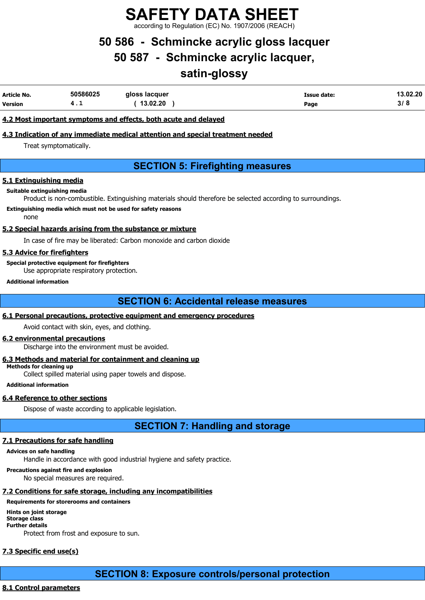SAFETY DATA SHEET ding to Regulation (EC) No. 1907/2006 (REA

# 50 586 - Schmincke acrylic gloss lacquer

50 587 - Schmincke acrylic lacquer,

## satin-glossy

| Article No. | 50586025 | gloss lacquer | Issue date: | 13.02.20 |
|-------------|----------|---------------|-------------|----------|
| Version     | . .      | 13.02.20      | Page        | 3/8      |

#### 4.2 Most important symptoms and effects, both acute and delayed

#### 4.3 Indication of any immediate medical attention and special treatment needed

Treat symptomatically.

### SECTION 5: Firefighting measures

#### 5.1 Extinguishing media

#### Suitable extinguishing media

Product is non-combustible. Extinguishing materials should therefore be selected according to surroundings.

#### Extinguishing media which must not be used for safety reasons

none

#### 5.2 Special hazards arising from the substance or mixture

In case of fire may be liberated: Carbon monoxide and carbon dioxide

#### 5.3 Advice for firefighters

Special protective equipment for firefighters Use appropriate respiratory protection.

#### Additional information

### SECTION 6: Accidental release measures

#### 6.1 Personal precautions, protective equipment and emergency procedures

Avoid contact with skin, eyes, and clothing.

#### 6.2 environmental precautions

Discharge into the environment must be avoided.

#### 6.3 Methods and material for containment and cleaning up

Methods for cleaning up

Collect spilled material using paper towels and dispose.

#### Additional information

#### 6.4 Reference to other sections

Dispose of waste according to applicable legislation.

SECTION 7: Handling and storage

### 7.1 Precautions for safe handling

#### Advices on safe handling

Handle in accordance with good industrial hygiene and safety practice.

### Precautions against fire and explosion

No special measures are required.

### 7.2 Conditions for safe storage, including any incompatibilities

### Requirements for storerooms and containers

Hints on joint storage Storage class Further details Protect from frost and exposure to sun.

# 7.3 Specific end use(s)

SECTION 8: Exposure controls/personal protection

### 8.1 Control parameters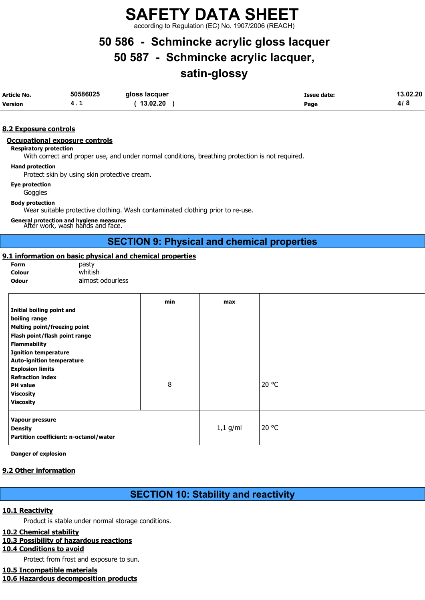according to Regulation (EC) No. 1907/2006 (REACH)

# 50 586 - Schmincke acrylic gloss lacquer

## 50 587 - Schmincke acrylic lacquer,

# satin-glossy

| Article No.    | 50586025 | gloss lacquer | <b>Issue date:</b> | 13.02.20 |
|----------------|----------|---------------|--------------------|----------|
| <b>Version</b> | 4. L     | 13.02.20      | Page               | 4/8      |

#### 8.2 Exposure controls

#### Occupational exposure controls

Respiratory protection

With correct and proper use, and under normal conditions, breathing protection is not required.

#### Hand protection

Protect skin by using skin protective cream.

Eye protection

**Goggles** 

Body protection

Wear suitable protective clothing. Wash contaminated clothing prior to re-use.

General protection and hygiene measures After work, wash hands and face.

### SECTION 9: Physical and chemical properties

#### 9.1 information on basic physical and chemical properties

| rorm         |
|--------------|
| Colour       |
| <b>Adair</b> |

pasty whitish Odour almost odourless

|                                        | min | max        |       |
|----------------------------------------|-----|------------|-------|
| Initial boiling point and              |     |            |       |
| boiling range                          |     |            |       |
| <b>Melting point/freezing point</b>    |     |            |       |
| Flash point/flash point range          |     |            |       |
| <b>Flammability</b>                    |     |            |       |
| <b>Ignition temperature</b>            |     |            |       |
| <b>Auto-ignition temperature</b>       |     |            |       |
| <b>Explosion limits</b>                |     |            |       |
| <b>Refraction index</b>                |     |            |       |
| <b>PH</b> value                        | 8   |            | 20 °C |
| <b>Viscosity</b>                       |     |            |       |
| <b>Viscosity</b>                       |     |            |       |
| Vapour pressure                        |     |            |       |
| <b>Density</b>                         |     | $1,1$ g/ml | 20 °C |
| Partition coefficient: n-octanol/water |     |            |       |
|                                        |     |            |       |

Danger of explosion

#### 9.2 Other information

### SECTION 10: Stability and reactivity

#### 10.1 Reactivity

Product is stable under normal storage conditions.

#### 10.2 Chemical stability

#### 10.3 Possibility of hazardous reactions

10.4 Conditions to avoid

Protect from frost and exposure to sun.

#### 10.5 Incompatible materials

10.6 Hazardous decomposition products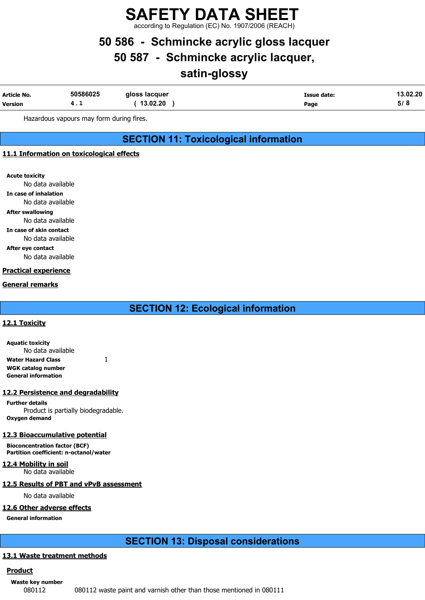according to Regulation (EC) No. 1907/2006 (REACH)

# 50 586 - Schmincke acrylic gloss lacquer

50 587 - Schmincke acrylic lacquer,

# satin-glossy

| Article No.    | 50586025 | gloss lacquer | Issue date: | 13.02.20 |
|----------------|----------|---------------|-------------|----------|
| <b>Version</b> | .        | 13.02.20      | Page        | ּ ט      |

Hazardous vapours may form during fires.

### SECTION 11: Toxicological information

#### 11.1 Information on toxicological effects

Acute toxicity

No data available

In case of inhalation

No data available

After swallowing No data available

In case of skin contact

No data available

After eye contact

No data available

#### Practical experience

#### General remarks

### SECTION 12: Ecological information

#### 12.1 Toxicity

Aquatic toxicity No data available Water Hazard Class  $1$ WGK catalog number General information

#### 12.2 Persistence and degradability

Further details Product is partially biodegradable. Oxygen demand

#### 12.3 Bioaccumulative potential

Bioconcentration factor (BCF) Partition coefficient: n-octanol/water

12.4 Mobility in soil No data available

#### 12.5 Results of PBT and vPvB assessment

No data available

#### 12.6 Other adverse effects

General information

### SECTION 13: Disposal considerations

#### 13.1 Waste treatment methods

#### **Product**

Waste key number

080112 080112 waste paint and varnish other than those mentioned in 080111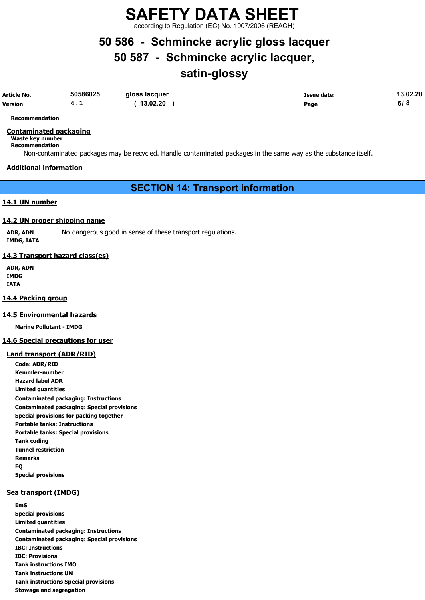according to Regulation (EC) No. 1907/2006 (REACH)

# 50 586 - Schmincke acrylic gloss lacquer

## 50 587 - Schmincke acrylic lacquer,

# satin-glossy

| Article No. | 50586025 | gloss lacquer | Issue date: | 13.02.20 |
|-------------|----------|---------------|-------------|----------|
| Version     | .        | 13.02.20      | Page        | 6/8      |

Recommendation

#### Contaminated packaging

Waste key number

Recommendation

Non-contaminated packages may be recycled. Handle contaminated packages in the same way as the substance itself.

#### Additional information

SECTION 14: Transport information

#### 14.1 UN number

#### 14.2 UN proper shipping name

ADR, ADN No dangerous good in sense of these transport regulations. IMDG, IATA

#### 14.3 Transport hazard class(es)

ADR, ADN IMDG IATA

#### 14.4 Packing group

#### 14.5 Environmental hazards

Marine Pollutant - IMDG

#### 14.6 Special precautions for user

#### Land transport (ADR/RID)

Code: ADR/RID Kemmler-number Hazard label ADR Limited quantities Contaminated packaging: Instructions Contaminated packaging: Special provisions Special provisions for packing together Portable tanks: Instructions Portable tanks: Special provisions Tank coding Tunnel restriction Remarks EQ Special provisions

#### Sea transport (IMDG)

EmS Special provisions Limited quantities Contaminated packaging: Instructions Contaminated packaging: Special provisions IBC: Instructions IBC: Provisions Tank instructions IMO Tank instructions UN Tank instructions Special provisions Stowage and segregation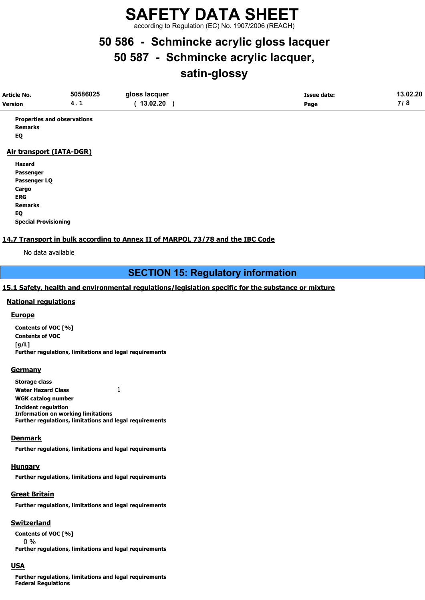according to Regulation (EC) No. 1907/2006 (REACH)

# 50 586 - Schmincke acrylic gloss lacquer

# 50 587 - Schmincke acrylic lacquer,

# satin-glossy

| Article No.<br>Version | 50586025<br>4.1                    | gloss lacquer<br>13.02.20 | <b>Issue date:</b><br>Page | 13.02.20<br>7/8 |
|------------------------|------------------------------------|---------------------------|----------------------------|-----------------|
| <b>Remarks</b><br>EQ   | <b>Properties and observations</b> |                           |                            |                 |

#### Air transport (IATA-DGR)

Hazard Passenger Passenger LQ Cargo ERG Remarks EQ Special Provisioning

#### 14.7 Transport in bulk according to Annex II of MARPOL 73/78 and the IBC Code

No data available

### SECTION 15: Regulatory information

#### 15.1 Safety, health and environmental regulations/legislation specific for the substance or mixture

#### National regulations

#### **Europe**

Contents of VOC [%] Contents of VOC [g/L] Further regulations, limitations and legal requirements

#### **Germany**

| <b>Storage class</b>                                           |  |
|----------------------------------------------------------------|--|
| <b>Water Hazard Class</b>                                      |  |
| WGK catalog number                                             |  |
| <b>Incident regulation</b>                                     |  |
| <b>Information on working limitations</b>                      |  |
| <b>Further regulations, limitations and legal requirements</b> |  |

#### **Denmark**

Further regulations, limitations and legal requirements

#### **Hungary**

Further regulations, limitations and legal requirements

#### Great Britain

Further regulations, limitations and legal requirements

#### **Switzerland**

Contents of VOC [%] 0 % Further regulations, limitations and legal requirements

#### USA

Further regulations, limitations and legal requirements Federal Regulations